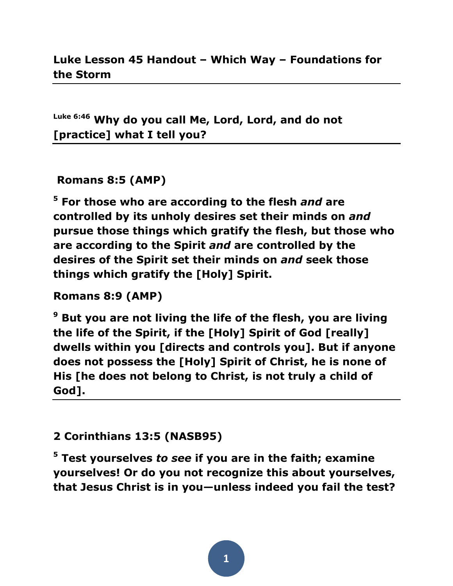**Luke 6:46 Why do you call Me, Lord, Lord, and do not [practice] what I tell you?**

## **Romans 8:5 (AMP)**

**<sup>5</sup> For those who are according to the flesh** *and* **are controlled by its unholy desires set their minds on** *and* **pursue those things which gratify the flesh, but those who are according to the Spirit** *and* **are controlled by the desires of the Spirit set their minds on** *and* **seek those things which gratify the [Holy] Spirit.** 

## **Romans 8:9 (AMP)**

**<sup>9</sup> But you are not living the life of the flesh, you are living the life of the Spirit, if the [Holy] Spirit of God [really] dwells within you [directs and controls you]. But if anyone does not possess the [Holy] Spirit of Christ, he is none of His [he does not belong to Christ, is not truly a child of God].** 

## **2 Corinthians 13:5 (NASB95)**

**<sup>5</sup> Test yourselves** *to see* **if you are in the faith; examine yourselves! Or do you not recognize this about yourselves, that Jesus Christ is in you—unless indeed you fail the test?**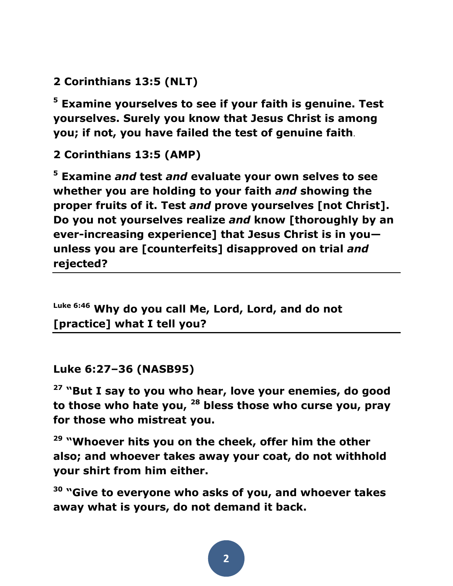**2 Corinthians 13:5 (NLT)** 

**<sup>5</sup> Examine yourselves to see if your faith is genuine. Test yourselves. Surely you know that Jesus Christ is among you; if not, you have failed the test of genuine faith**.

**2 Corinthians 13:5 (AMP)** 

**<sup>5</sup> Examine** *and* **test** *and* **evaluate your own selves to see whether you are holding to your faith** *and* **showing the proper fruits of it. Test** *and* **prove yourselves [not Christ]. Do you not yourselves realize** *and* **know [thoroughly by an ever-increasing experience] that Jesus Christ is in you unless you are [counterfeits] disapproved on trial** *and* **rejected?** 

**Luke 6:46 Why do you call Me, Lord, Lord, and do not [practice] what I tell you?**

**Luke 6:27–36 (NASB95)** 

**<sup>27</sup> "But I say to you who hear, love your enemies, do good to those who hate you, <sup>28</sup> bless those who curse you, pray for those who mistreat you.** 

**<sup>29</sup> "Whoever hits you on the cheek, offer him the other also; and whoever takes away your coat, do not withhold your shirt from him either.** 

**<sup>30</sup> "Give to everyone who asks of you, and whoever takes away what is yours, do not demand it back.**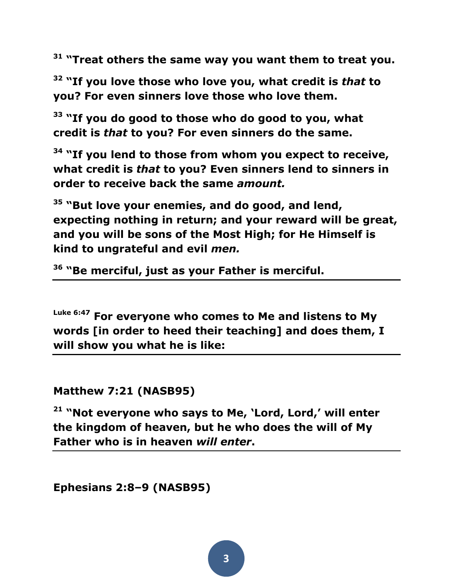**<sup>31</sup> "Treat others the same way you want them to treat you.** 

**<sup>32</sup> "If you love those who love you, what credit is** *that* **to you? For even sinners love those who love them.** 

**<sup>33</sup> "If you do good to those who do good to you, what credit is** *that* **to you? For even sinners do the same.** 

**<sup>34</sup> "If you lend to those from whom you expect to receive, what credit is** *that* **to you? Even sinners lend to sinners in order to receive back the same** *amount.*

**<sup>35</sup> "But love your enemies, and do good, and lend, expecting nothing in return; and your reward will be great, and you will be sons of the Most High; for He Himself is kind to ungrateful and evil** *men.*

**36 "Be merciful, just as your Father is merciful.**

**Luke 6:47 For everyone who comes to Me and listens to My words [in order to heed their teaching] and does them, I will show you what he is like:** 

**Matthew 7:21 (NASB95)** 

**<sup>21</sup> "Not everyone who says to Me, 'Lord, Lord,' will enter the kingdom of heaven, but he who does the will of My Father who is in heaven** *will enter***.**

**Ephesians 2:8–9 (NASB95)**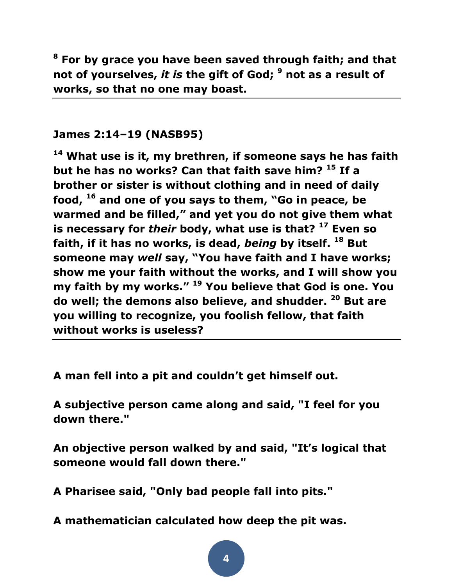**<sup>8</sup> For by grace you have been saved through faith; and that not of yourselves,** *it is* **the gift of God; <sup>9</sup> not as a result of works, so that no one may boast.** 

## **James 2:14–19 (NASB95)**

**<sup>14</sup> What use is it, my brethren, if someone says he has faith but he has no works? Can that faith save him? <sup>15</sup> If a brother or sister is without clothing and in need of daily food, <sup>16</sup> and one of you says to them, "Go in peace, be warmed and be filled," and yet you do not give them what is necessary for** *their* **body, what use is that? <sup>17</sup> Even so faith, if it has no works, is dead,** *being* **by itself. <sup>18</sup> But someone may** *well* **say, "You have faith and I have works; show me your faith without the works, and I will show you my faith by my works." <sup>19</sup> You believe that God is one. You do well; the demons also believe, and shudder. <sup>20</sup> But are you willing to recognize, you foolish fellow, that faith without works is useless?**

**A man fell into a pit and couldn't get himself out.**

**A subjective person came along and said, "I feel for you down there."**

**An objective person walked by and said, "It's logical that someone would fall down there."**

**A Pharisee said, "Only bad people fall into pits."**

**A mathematician calculated how deep the pit was.**

**4**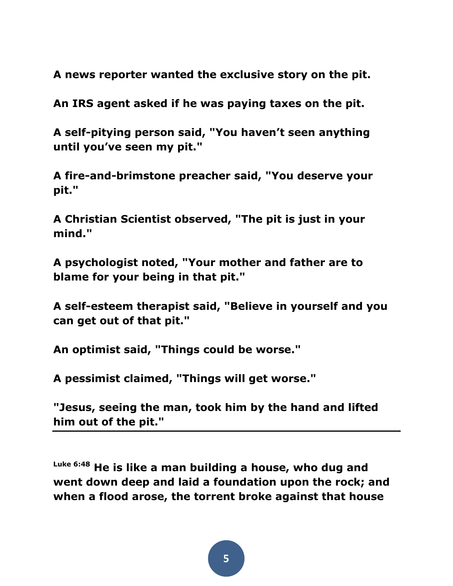**A news reporter wanted the exclusive story on the pit.**

**An IRS agent asked if he was paying taxes on the pit.**

**A self-pitying person said, "You haven't seen anything until you've seen my pit."**

**A fire-and-brimstone preacher said, "You deserve your pit."**

**A Christian Scientist observed, "The pit is just in your mind."**

**A psychologist noted, "Your mother and father are to blame for your being in that pit."**

**A self-esteem therapist said, "Believe in yourself and you can get out of that pit."**

**An optimist said, "Things could be worse."**

**A pessimist claimed, "Things will get worse."**

**"Jesus, seeing the man, took him by the hand and lifted him out of the pit."**

**Luke 6:48 He is like a man building a house, who dug and went down deep and laid a foundation upon the rock; and when a flood arose, the torrent broke against that house**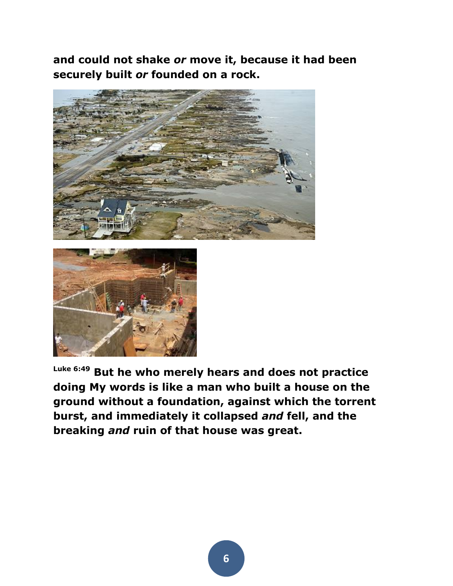**and could not shake** *or* **move it, because it had been securely built** *or* **founded on a rock.** 





**Luke 6:49 But he who merely hears and does not practice doing My words is like a man who built a house on the ground without a foundation, against which the torrent burst, and immediately it collapsed** *and* **fell, and the breaking** *and* **ruin of that house was great.**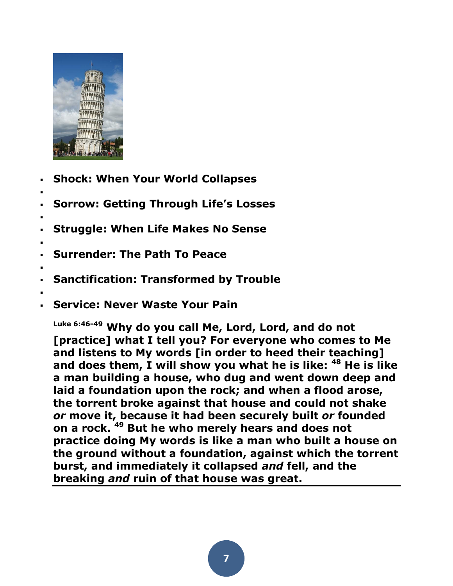

- **Shock: [When Your World Collapses](http://saddleback.com/mc/m/6c3cb/)**
- **Sorrow: [Getting Through Life's Losses](http://saddleback.com/mc/m/53359/)**
- : **Struggle: [When Life Makes No Sense](http://saddleback.com/mc/m/9195e/)**
- **Surrender: [The Path To Peace](http://saddleback.com/mc/m/33f39/)**
- . **Sanctification: [Transformed by Trouble](http://saddleback.com/mc/m/d521f/)**
- .

.

:

**Service: [Never Waste Your Pain](http://saddleback.com/mc/m/ff135/)**

**Luke 6:46-49 Why do you call Me, Lord, Lord, and do not [practice] what I tell you? For everyone who comes to Me and listens to My words [in order to heed their teaching] and does them, I will show you what he is like: <sup>48</sup> He is like a man building a house, who dug and went down deep and laid a foundation upon the rock; and when a flood arose, the torrent broke against that house and could not shake**  *or* **move it, because it had been securely built** *or* **founded on a rock. <sup>49</sup> But he who merely hears and does not practice doing My words is like a man who built a house on the ground without a foundation, against which the torrent burst, and immediately it collapsed** *and* **fell, and the breaking** *and* **ruin of that house was great.**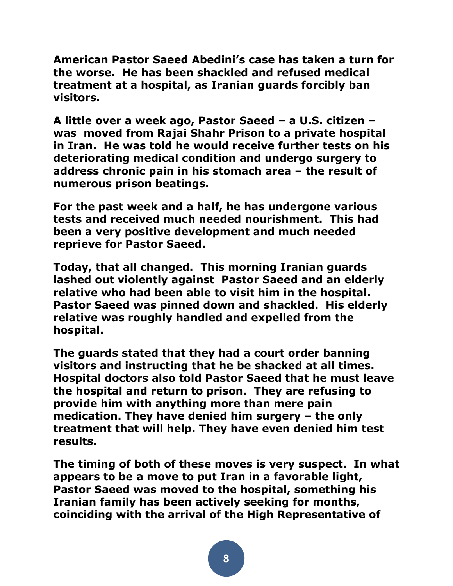**American Pastor Saeed Abedini's case has taken a turn for the worse. He has been shackled and refused medical treatment at a hospital, as Iranian guards forcibly ban visitors.**

**A little over a week ago, Pastor Saeed – a U.S. citizen – was moved from Rajai Shahr Prison to a private hospital in Iran. He was told he would receive further tests on his deteriorating medical condition and undergo surgery to address chronic pain in his stomach area – the result of numerous prison beatings.**

**For the past week and a half, he has undergone various tests and received much needed nourishment. This had been a very positive development and much needed reprieve for Pastor Saeed.**

**Today, that all changed. This morning Iranian guards lashed out violently against Pastor Saeed and an elderly relative who had been able to visit him in the hospital. Pastor Saeed was pinned down and shackled. His elderly relative was roughly handled and expelled from the hospital.**

**The guards stated that they had a court order banning visitors and instructing that he be shacked at all times. Hospital doctors also told Pastor Saeed that he must leave the hospital and return to prison. They are refusing to provide him with anything more than mere pain medication. They have denied him surgery – the only treatment that will help. They have even denied him test results.**

**The timing of both of these moves is very suspect. In what appears to be a move to put Iran in a favorable light, Pastor Saeed was moved to the hospital, something his Iranian family has been actively seeking for months, coinciding with the arrival of the High Representative of**